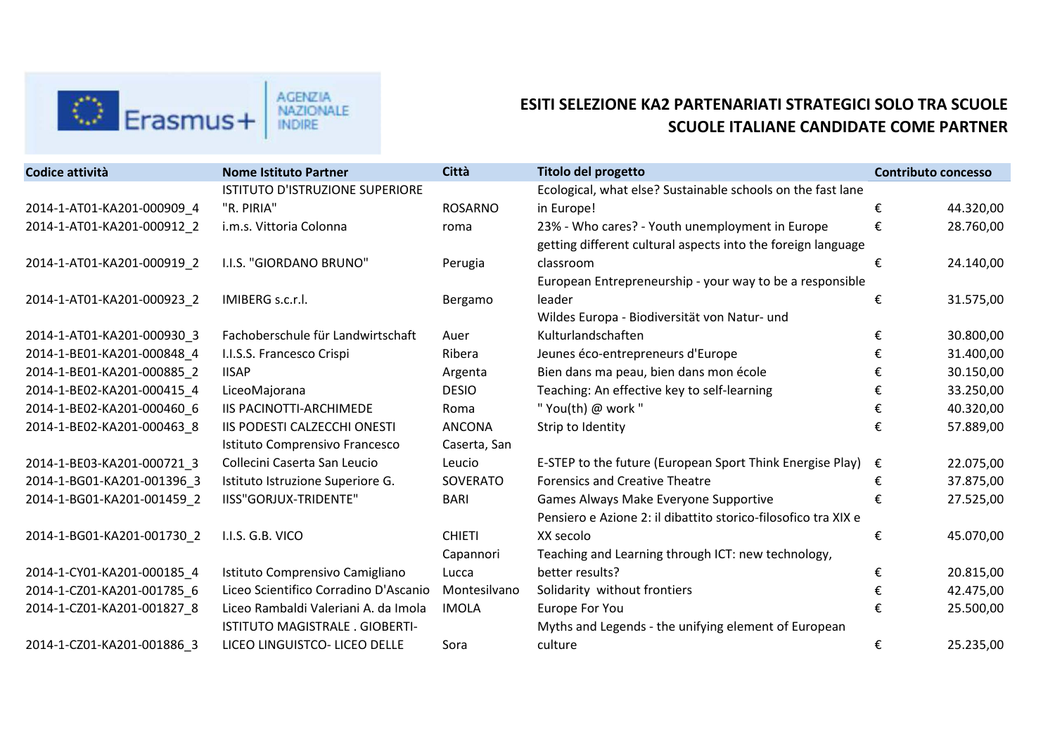

## **ESITI SELEZIONE KA2 PARTENARIATI STRATEGICI SOLO TRA SCUOLE SCUOLE ITALIANE CANDIDATE COME PARTNER**

| Codice attività            | <b>Nome Istituto Partner</b>           | <b>Città</b>   | Titolo del progetto                                                  | <b>Contributo concesso</b> |           |
|----------------------------|----------------------------------------|----------------|----------------------------------------------------------------------|----------------------------|-----------|
|                            | <b>ISTITUTO D'ISTRUZIONE SUPERIORE</b> |                | Ecological, what else? Sustainable schools on the fast lane          |                            |           |
| 2014-1-AT01-KA201-000909_4 | "R. PIRIA"                             | <b>ROSARNO</b> | in Europe!                                                           | €                          | 44.320,00 |
| 2014-1-AT01-KA201-000912 2 | i.m.s. Vittoria Colonna                | roma           | 23% - Who cares? - Youth unemployment in Europe                      | €                          | 28.760,00 |
|                            |                                        |                | getting different cultural aspects into the foreign language         |                            |           |
| 2014-1-AT01-KA201-000919 2 | I.I.S. "GIORDANO BRUNO"                | Perugia        | classroom                                                            | €                          | 24.140,00 |
|                            |                                        |                | European Entrepreneurship - your way to be a responsible             |                            |           |
| 2014-1-AT01-KA201-000923 2 | IMIBERG s.c.r.l.                       | Bergamo        | leader                                                               | €                          | 31.575,00 |
|                            |                                        |                | Wildes Europa - Biodiversität von Natur- und                         |                            |           |
| 2014-1-AT01-KA201-000930 3 | Fachoberschule für Landwirtschaft      | Auer           | Kulturlandschaften                                                   | €                          | 30.800,00 |
| 2014-1-BE01-KA201-000848 4 | I.I.S.S. Francesco Crispi              | Ribera         | Jeunes éco-entrepreneurs d'Europe                                    | €                          | 31.400,00 |
| 2014-1-BE01-KA201-000885 2 | <b>IISAP</b>                           | Argenta        | Bien dans ma peau, bien dans mon école                               | €                          | 30.150,00 |
| 2014-1-BE02-KA201-000415 4 | LiceoMajorana                          | <b>DESIO</b>   | Teaching: An effective key to self-learning                          | €                          | 33.250,00 |
| 2014-1-BE02-KA201-000460 6 | <b>IIS PACINOTTI-ARCHIMEDE</b>         | Roma           | "You(th) @ work "                                                    | €                          | 40.320,00 |
| 2014-1-BE02-KA201-000463 8 | IIS PODESTI CALZECCHI ONESTI           | <b>ANCONA</b>  | Strip to Identity                                                    | €                          | 57.889,00 |
|                            | Istituto Comprensivo Francesco         | Caserta, San   |                                                                      |                            |           |
| 2014-1-BE03-KA201-000721 3 | Collecini Caserta San Leucio           | Leucio         | E-STEP to the future (European Sport Think Energise Play) $\epsilon$ |                            | 22.075,00 |
| 2014-1-BG01-KA201-001396 3 | Istituto Istruzione Superiore G.       | SOVERATO       | <b>Forensics and Creative Theatre</b>                                | €                          | 37.875,00 |
| 2014-1-BG01-KA201-001459 2 | IISS"GORJUX-TRIDENTE"                  | <b>BARI</b>    | Games Always Make Everyone Supportive                                | €                          | 27.525,00 |
|                            |                                        |                | Pensiero e Azione 2: il dibattito storico-filosofico tra XIX e       |                            |           |
| 2014-1-BG01-KA201-001730 2 | I.I.S. G.B. VICO                       | <b>CHIETI</b>  | XX secolo                                                            | €                          | 45.070,00 |
|                            |                                        | Capannori      | Teaching and Learning through ICT: new technology,                   |                            |           |
| 2014-1-CY01-KA201-000185 4 | Istituto Comprensivo Camigliano        | Lucca          | better results?                                                      | €                          | 20.815,00 |
| 2014-1-CZ01-KA201-001785 6 | Liceo Scientifico Corradino D'Ascanio  | Montesilvano   | Solidarity without frontiers                                         | €                          | 42.475,00 |
| 2014-1-CZ01-KA201-001827 8 | Liceo Rambaldi Valeriani A. da Imola   | <b>IMOLA</b>   | Europe For You                                                       | €                          | 25.500,00 |
|                            | ISTITUTO MAGISTRALE . GIOBERTI-        |                | Myths and Legends - the unifying element of European                 |                            |           |
| 2014-1-CZ01-KA201-001886 3 | LICEO LINGUISTCO- LICEO DELLE          | Sora           | culture                                                              | €                          | 25.235,00 |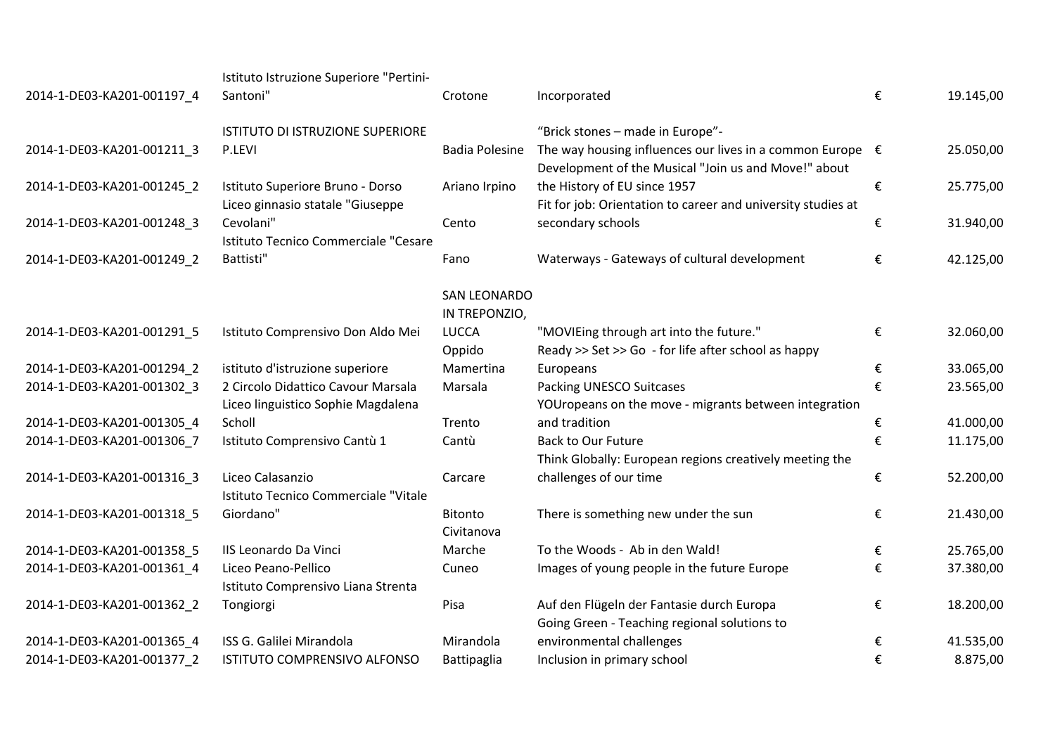|                            | Istituto Istruzione Superiore "Pertini- |                       |                                                                                                                            |   |           |
|----------------------------|-----------------------------------------|-----------------------|----------------------------------------------------------------------------------------------------------------------------|---|-----------|
| 2014-1-DE03-KA201-001197_4 | Santoni"                                | Crotone               | Incorporated                                                                                                               | € | 19.145,00 |
|                            | ISTITUTO DI ISTRUZIONE SUPERIORE        |                       | "Brick stones - made in Europe"-                                                                                           |   |           |
| 2014-1-DE03-KA201-001211_3 | P.LEVI                                  | <b>Badia Polesine</b> | The way housing influences our lives in a common Europe $\epsilon$<br>Development of the Musical "Join us and Move!" about |   | 25.050,00 |
| 2014-1-DE03-KA201-001245_2 | Istituto Superiore Bruno - Dorso        | Ariano Irpino         | the History of EU since 1957                                                                                               | € | 25.775,00 |
|                            | Liceo ginnasio statale "Giuseppe        |                       | Fit for job: Orientation to career and university studies at                                                               |   |           |
| 2014-1-DE03-KA201-001248 3 | Cevolani"                               | Cento                 | secondary schools                                                                                                          | € | 31.940,00 |
|                            | Istituto Tecnico Commerciale "Cesare    |                       |                                                                                                                            |   |           |
| 2014-1-DE03-KA201-001249_2 | Battisti"                               | Fano                  | Waterways - Gateways of cultural development                                                                               | € | 42.125,00 |
|                            |                                         | <b>SAN LEONARDO</b>   |                                                                                                                            |   |           |
|                            |                                         | IN TREPONZIO,         |                                                                                                                            |   |           |
| 2014-1-DE03-KA201-001291 5 | Istituto Comprensivo Don Aldo Mei       | <b>LUCCA</b>          | "MOVIEing through art into the future."                                                                                    | € | 32.060,00 |
|                            |                                         | Oppido                | Ready >> Set >> Go - for life after school as happy                                                                        |   |           |
| 2014-1-DE03-KA201-001294_2 | istituto d'istruzione superiore         | Mamertina             | Europeans                                                                                                                  | € | 33.065,00 |
| 2014-1-DE03-KA201-001302 3 | 2 Circolo Didattico Cavour Marsala      | Marsala               | <b>Packing UNESCO Suitcases</b>                                                                                            | € | 23.565,00 |
|                            | Liceo linguistico Sophie Magdalena      |                       | YOUropeans on the move - migrants between integration                                                                      |   |           |
| 2014-1-DE03-KA201-001305_4 | Scholl                                  | Trento                | and tradition                                                                                                              | € | 41.000,00 |
| 2014-1-DE03-KA201-001306_7 | Istituto Comprensivo Cantù 1            | Cantù                 | <b>Back to Our Future</b>                                                                                                  | € | 11.175,00 |
|                            |                                         |                       | Think Globally: European regions creatively meeting the                                                                    |   |           |
| 2014-1-DE03-KA201-001316_3 | Liceo Calasanzio                        | Carcare               | challenges of our time                                                                                                     | € | 52.200,00 |
|                            | Istituto Tecnico Commerciale "Vitale    |                       |                                                                                                                            |   |           |
| 2014-1-DE03-KA201-001318 5 | Giordano"                               | <b>Bitonto</b>        | There is something new under the sun                                                                                       | € | 21.430,00 |
|                            |                                         | Civitanova            |                                                                                                                            |   |           |
| 2014-1-DE03-KA201-001358_5 | IIS Leonardo Da Vinci                   | Marche                | To the Woods - Ab in den Wald!                                                                                             | € | 25.765,00 |
| 2014-1-DE03-KA201-001361 4 | Liceo Peano-Pellico                     | Cuneo                 | Images of young people in the future Europe                                                                                | € | 37.380,00 |
|                            | Istituto Comprensivo Liana Strenta      |                       |                                                                                                                            |   |           |
| 2014-1-DE03-KA201-001362_2 | Tongiorgi                               | Pisa                  | Auf den Flügeln der Fantasie durch Europa                                                                                  | € | 18.200,00 |
|                            |                                         |                       | Going Green - Teaching regional solutions to                                                                               |   |           |
| 2014-1-DE03-KA201-001365_4 | ISS G. Galilei Mirandola                | Mirandola             | environmental challenges                                                                                                   | € | 41.535,00 |
| 2014-1-DE03-KA201-001377 2 | ISTITUTO COMPRENSIVO ALFONSO            | Battipaglia           | Inclusion in primary school                                                                                                | € | 8.875,00  |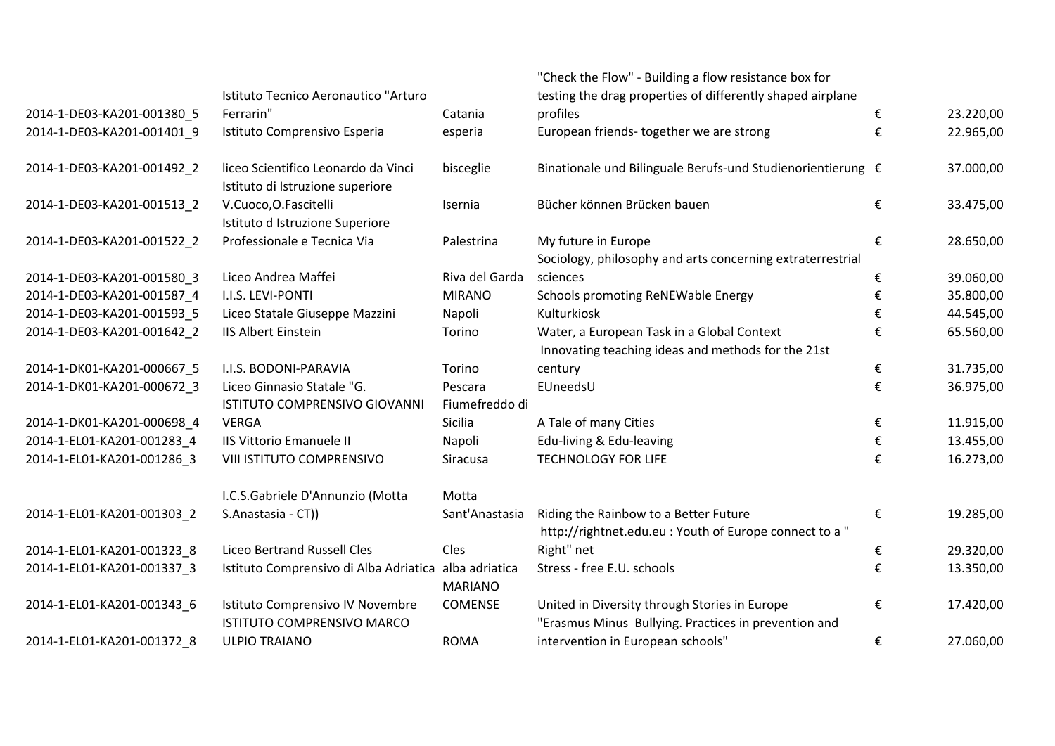|                            |                                                                         |                | "Check the Flow" - Building a flow resistance box for                                                 |   |           |
|----------------------------|-------------------------------------------------------------------------|----------------|-------------------------------------------------------------------------------------------------------|---|-----------|
|                            | Istituto Tecnico Aeronautico "Arturo                                    |                | testing the drag properties of differently shaped airplane                                            |   |           |
| 2014-1-DE03-KA201-001380_5 | Ferrarin"                                                               | Catania        | profiles                                                                                              | € | 23.220,00 |
| 2014-1-DE03-KA201-001401 9 | Istituto Comprensivo Esperia                                            | esperia        | European friends-together we are strong                                                               | € | 22.965,00 |
| 2014-1-DE03-KA201-001492_2 | liceo Scientifico Leonardo da Vinci<br>Istituto di Istruzione superiore | bisceglie      | Binationale und Bilinguale Berufs-und Studienorientierung €                                           |   | 37.000,00 |
| 2014-1-DE03-KA201-001513_2 | V.Cuoco, O.Fascitelli<br>Istituto d Istruzione Superiore                | Isernia        | Bücher können Brücken bauen                                                                           | € | 33.475,00 |
| 2014-1-DE03-KA201-001522 2 | Professionale e Tecnica Via                                             | Palestrina     | My future in Europe<br>Sociology, philosophy and arts concerning extraterrestrial                     | € | 28.650,00 |
| 2014-1-DE03-KA201-001580_3 | Liceo Andrea Maffei                                                     | Riva del Garda | sciences                                                                                              | € | 39.060,00 |
| 2014-1-DE03-KA201-001587_4 | I.I.S. LEVI-PONTI                                                       | <b>MIRANO</b>  | Schools promoting ReNEWable Energy                                                                    | € | 35.800,00 |
| 2014-1-DE03-KA201-001593 5 | Liceo Statale Giuseppe Mazzini                                          | Napoli         | Kulturkiosk                                                                                           | € | 44.545,00 |
| 2014-1-DE03-KA201-001642 2 | <b>IIS Albert Einstein</b>                                              | Torino         | Water, a European Task in a Global Context                                                            | € | 65.560,00 |
|                            |                                                                         |                | Innovating teaching ideas and methods for the 21st                                                    |   |           |
| 2014-1-DK01-KA201-000667_5 | I.I.S. BODONI-PARAVIA                                                   | Torino         | century                                                                                               | € | 31.735,00 |
| 2014-1-DK01-KA201-000672 3 | Liceo Ginnasio Statale "G.                                              | Pescara        | EUneedsU                                                                                              | € | 36.975,00 |
|                            | ISTITUTO COMPRENSIVO GIOVANNI                                           | Fiumefreddo di |                                                                                                       |   |           |
| 2014-1-DK01-KA201-000698_4 | <b>VERGA</b>                                                            | Sicilia        | A Tale of many Cities                                                                                 | € | 11.915,00 |
| 2014-1-EL01-KA201-001283 4 | <b>IIS Vittorio Emanuele II</b>                                         | Napoli         | Edu-living & Edu-leaving                                                                              | € | 13.455,00 |
| 2014-1-EL01-KA201-001286_3 | VIII ISTITUTO COMPRENSIVO                                               | Siracusa       | <b>TECHNOLOGY FOR LIFE</b>                                                                            | € | 16.273,00 |
|                            | I.C.S.Gabriele D'Annunzio (Motta                                        | Motta          |                                                                                                       |   |           |
| 2014-1-EL01-KA201-001303_2 | S.Anastasia - CT))                                                      | Sant'Anastasia | Riding the Rainbow to a Better Future<br>http://rightnet.edu.eu : Youth of Europe connect to a "      | € | 19.285,00 |
| 2014-1-EL01-KA201-001323_8 | <b>Liceo Bertrand Russell Cles</b>                                      | Cles           | Right" net                                                                                            | € | 29.320,00 |
| 2014-1-EL01-KA201-001337 3 | Istituto Comprensivo di Alba Adriatica alba adriatica                   |                | Stress - free E.U. schools                                                                            | € | 13.350,00 |
|                            |                                                                         | <b>MARIANO</b> |                                                                                                       |   |           |
| 2014-1-EL01-KA201-001343_6 | Istituto Comprensivo IV Novembre<br>ISTITUTO COMPRENSIVO MARCO          | <b>COMENSE</b> | United in Diversity through Stories in Europe<br>"Erasmus Minus Bullying. Practices in prevention and | € | 17.420,00 |
| 2014-1-EL01-KA201-001372 8 | <b>ULPIO TRAIANO</b>                                                    | <b>ROMA</b>    | intervention in European schools"                                                                     | € | 27.060,00 |
|                            |                                                                         |                |                                                                                                       |   |           |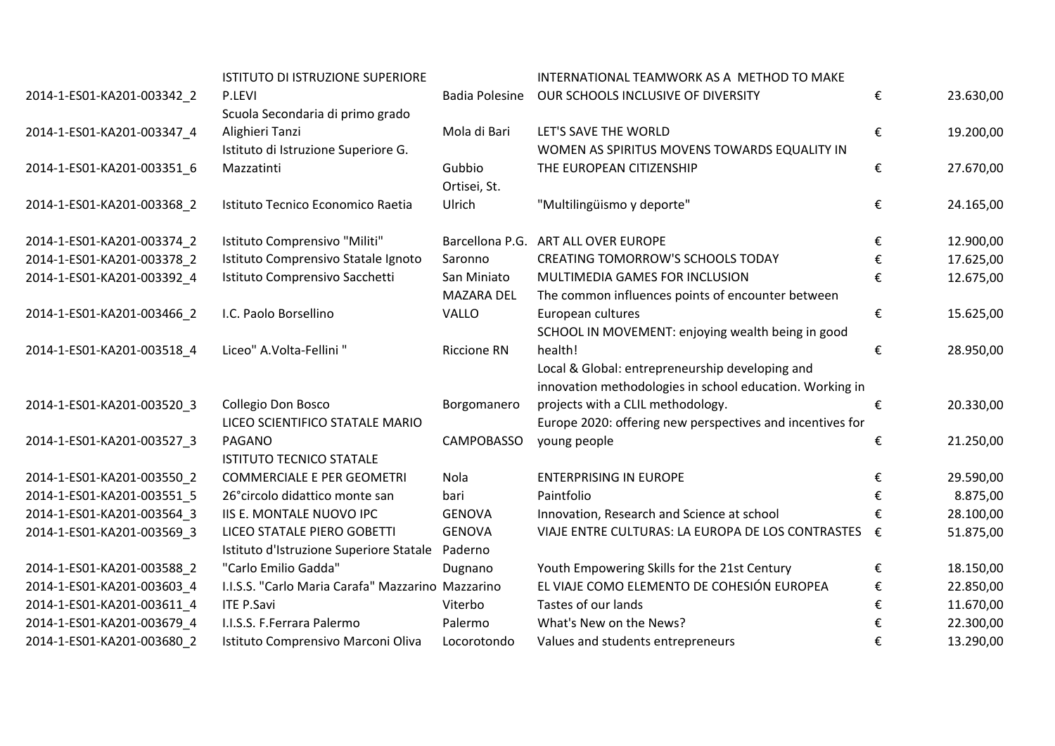|                            | ISTITUTO DI ISTRUZIONE SUPERIORE                  |                       | INTERNATIONAL TEAMWORK AS A METHOD TO MAKE                |   |           |
|----------------------------|---------------------------------------------------|-----------------------|-----------------------------------------------------------|---|-----------|
| 2014-1-ES01-KA201-003342_2 | P.LEVI                                            | <b>Badia Polesine</b> | OUR SCHOOLS INCLUSIVE OF DIVERSITY                        | € | 23.630,00 |
|                            | Scuola Secondaria di primo grado                  |                       |                                                           |   |           |
| 2014-1-ES01-KA201-003347_4 | Alighieri Tanzi                                   | Mola di Bari          | LET'S SAVE THE WORLD                                      | € | 19.200,00 |
|                            | Istituto di Istruzione Superiore G.               |                       | WOMEN AS SPIRITUS MOVENS TOWARDS EQUALITY IN              |   |           |
| 2014-1-ES01-KA201-003351 6 | Mazzatinti                                        | Gubbio                | THE EUROPEAN CITIZENSHIP                                  | € | 27.670,00 |
|                            |                                                   | Ortisei, St.          |                                                           |   |           |
| 2014-1-ES01-KA201-003368_2 | Istituto Tecnico Economico Raetia                 | Ulrich                | "Multilingüismo y deporte"                                | € | 24.165,00 |
|                            |                                                   |                       |                                                           |   |           |
| 2014-1-ES01-KA201-003374_2 | Istituto Comprensivo "Militi"                     |                       | Barcellona P.G. ART ALL OVER EUROPE                       | € | 12.900,00 |
| 2014-1-ES01-KA201-003378 2 | Istituto Comprensivo Statale Ignoto               | Saronno               | <b>CREATING TOMORROW'S SCHOOLS TODAY</b>                  | € | 17.625,00 |
| 2014-1-ES01-KA201-003392 4 | Istituto Comprensivo Sacchetti                    | San Miniato           | MULTIMEDIA GAMES FOR INCLUSION                            | € | 12.675,00 |
|                            |                                                   | <b>MAZARA DEL</b>     | The common influences points of encounter between         |   |           |
| 2014-1-ES01-KA201-003466_2 | I.C. Paolo Borsellino                             | VALLO                 | European cultures                                         | € | 15.625,00 |
|                            |                                                   |                       | SCHOOL IN MOVEMENT: enjoying wealth being in good         |   |           |
| 2014-1-ES01-KA201-003518_4 | Liceo" A.Volta-Fellini "                          | <b>Riccione RN</b>    | health!                                                   | € | 28.950,00 |
|                            |                                                   |                       | Local & Global: entrepreneurship developing and           |   |           |
|                            |                                                   |                       | innovation methodologies in school education. Working in  |   |           |
| 2014-1-ES01-KA201-003520_3 | Collegio Don Bosco                                | Borgomanero           | projects with a CLIL methodology.                         | € | 20.330,00 |
|                            | LICEO SCIENTIFICO STATALE MARIO                   |                       | Europe 2020: offering new perspectives and incentives for |   |           |
| 2014-1-ES01-KA201-003527_3 | PAGANO                                            | <b>CAMPOBASSO</b>     | young people                                              | € | 21.250,00 |
|                            | <b>ISTITUTO TECNICO STATALE</b>                   |                       |                                                           |   |           |
| 2014-1-ES01-KA201-003550_2 | <b>COMMERCIALE E PER GEOMETRI</b>                 | Nola                  | <b>ENTERPRISING IN EUROPE</b>                             | € | 29.590,00 |
| 2014-1-ES01-KA201-003551_5 | 26° circolo didattico monte san                   | bari                  | Paintfolio                                                | € | 8.875,00  |
| 2014-1-ES01-KA201-003564 3 | IIS E. MONTALE NUOVO IPC                          | <b>GENOVA</b>         | Innovation, Research and Science at school                | € | 28.100,00 |
| 2014-1-ES01-KA201-003569 3 | LICEO STATALE PIERO GOBETTI                       | <b>GENOVA</b>         | VIAJE ENTRE CULTURAS: LA EUROPA DE LOS CONTRASTES €       |   | 51.875,00 |
|                            | Istituto d'Istruzione Superiore Statale           | Paderno               |                                                           |   |           |
| 2014-1-ES01-KA201-003588_2 | "Carlo Emilio Gadda"                              | Dugnano               | Youth Empowering Skills for the 21st Century              | € | 18.150,00 |
| 2014-1-ES01-KA201-003603_4 | I.I.S.S. "Carlo Maria Carafa" Mazzarino Mazzarino |                       | EL VIAJE COMO ELEMENTO DE COHESIÓN EUROPEA                | € | 22.850,00 |
| 2014-1-ES01-KA201-003611 4 | <b>ITE P.Savi</b>                                 | Viterbo               | Tastes of our lands                                       | € | 11.670,00 |
| 2014-1-ES01-KA201-003679 4 | I.I.S.S. F.Ferrara Palermo                        | Palermo               | What's New on the News?                                   | € | 22.300,00 |
| 2014-1-ES01-KA201-003680 2 | Istituto Comprensivo Marconi Oliva                | Locorotondo           | Values and students entrepreneurs                         | € | 13.290,00 |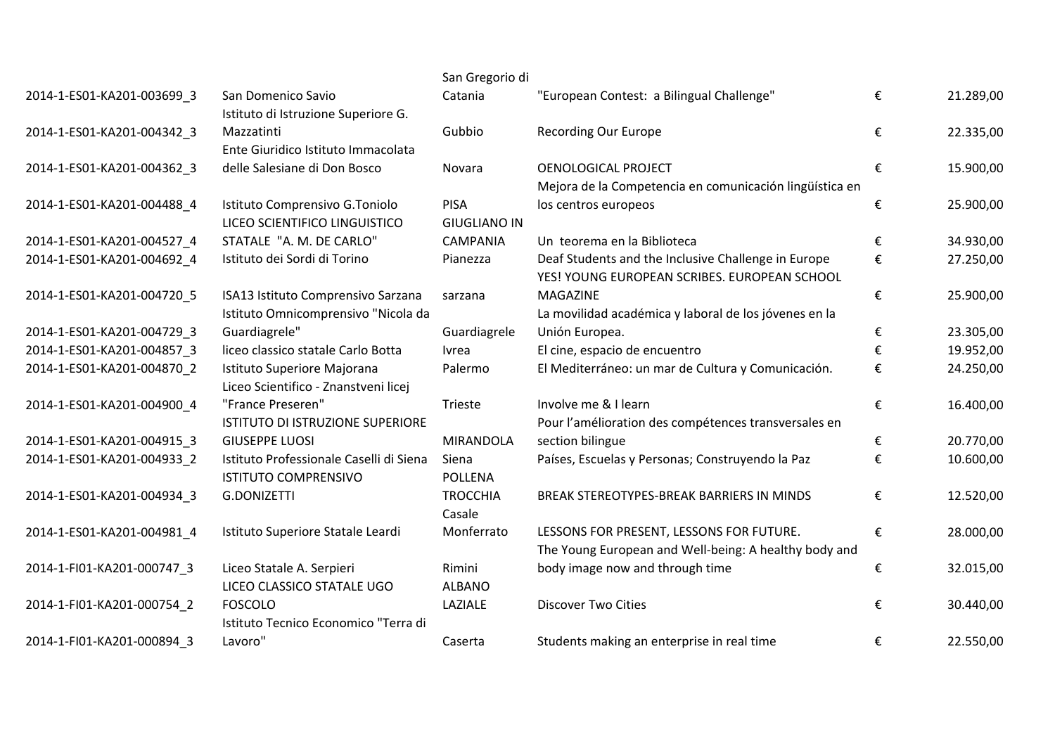| San Domenico Savio<br>Istituto di Istruzione Superiore G.              | Catania                                                                                                                            | "European Contest: a Bilingual Challenge"                                                           | €                                                                                                                           | 21.289,00 |
|------------------------------------------------------------------------|------------------------------------------------------------------------------------------------------------------------------------|-----------------------------------------------------------------------------------------------------|-----------------------------------------------------------------------------------------------------------------------------|-----------|
| Mazzatinti<br>Ente Giuridico Istituto Immacolata                       | Gubbio                                                                                                                             | <b>Recording Our Europe</b>                                                                         | €                                                                                                                           | 22.335,00 |
| delle Salesiane di Don Bosco                                           | Novara                                                                                                                             | <b>OENOLOGICAL PROJECT</b><br>Mejora de la Competencia en comunicación lingüística en               | €                                                                                                                           | 15.900,00 |
| Istituto Comprensivo G.Toniolo<br>LICEO SCIENTIFICO LINGUISTICO        | <b>PISA</b><br><b>GIUGLIANO IN</b>                                                                                                 | los centros europeos                                                                                | €                                                                                                                           | 25.900,00 |
| STATALE "A. M. DE CARLO"                                               | <b>CAMPANIA</b>                                                                                                                    | Un teorema en la Biblioteca                                                                         | €                                                                                                                           | 34.930,00 |
| Istituto dei Sordi di Torino                                           | Pianezza                                                                                                                           | Deaf Students and the Inclusive Challenge in Europe<br>YES! YOUNG EUROPEAN SCRIBES. EUROPEAN SCHOOL | €                                                                                                                           | 27.250,00 |
| ISA13 Istituto Comprensivo Sarzana                                     | sarzana                                                                                                                            | MAGAZINE                                                                                            | €                                                                                                                           | 25.900,00 |
|                                                                        |                                                                                                                                    |                                                                                                     |                                                                                                                             | 23.305,00 |
|                                                                        |                                                                                                                                    |                                                                                                     |                                                                                                                             | 19.952,00 |
| Istituto Superiore Majorana                                            | Palermo                                                                                                                            | El Mediterráneo: un mar de Cultura y Comunicación.                                                  | €                                                                                                                           | 24.250,00 |
| "France Preseren"<br>ISTITUTO DI ISTRUZIONE SUPERIORE                  | Trieste                                                                                                                            | Involve me & I learn<br>Pour l'amélioration des compétences transversales en                        | €                                                                                                                           | 16.400,00 |
| <b>GIUSEPPE LUOSI</b>                                                  | <b>MIRANDOLA</b>                                                                                                                   | section bilingue                                                                                    | €                                                                                                                           | 20.770,00 |
| Istituto Professionale Caselli di Siena<br><b>ISTITUTO COMPRENSIVO</b> | Siena<br><b>POLLENA</b>                                                                                                            | Países, Escuelas y Personas; Construyendo la Paz                                                    | €                                                                                                                           | 10.600,00 |
| G.DONIZETTI                                                            | <b>TROCCHIA</b><br>Casale                                                                                                          | BREAK STEREOTYPES-BREAK BARRIERS IN MINDS                                                           | €                                                                                                                           | 12.520,00 |
| Istituto Superiore Statale Leardi                                      | Monferrato                                                                                                                         | LESSONS FOR PRESENT, LESSONS FOR FUTURE.<br>The Young European and Well-being: A healthy body and   | €                                                                                                                           | 28.000,00 |
| Liceo Statale A. Serpieri<br>LICEO CLASSICO STATALE UGO                | Rimini<br><b>ALBANO</b>                                                                                                            | body image now and through time                                                                     | €                                                                                                                           | 32.015,00 |
| <b>FOSCOLO</b><br>Istituto Tecnico Economico "Terra di                 | LAZIALE                                                                                                                            | <b>Discover Two Cities</b>                                                                          | €                                                                                                                           | 30.440,00 |
| Lavoro"                                                                | Caserta                                                                                                                            | Students making an enterprise in real time                                                          | €                                                                                                                           | 22.550,00 |
|                                                                        | Istituto Omnicomprensivo "Nicola da<br>Guardiagrele"<br>liceo classico statale Carlo Botta<br>Liceo Scientifico - Znanstveni licej | Guardiagrele<br><u>Ivrea</u>                                                                        | San Gregorio di<br>La movilidad académica y laboral de los jóvenes en la<br>Unión Europea.<br>El cine, espacio de encuentro | €<br>€    |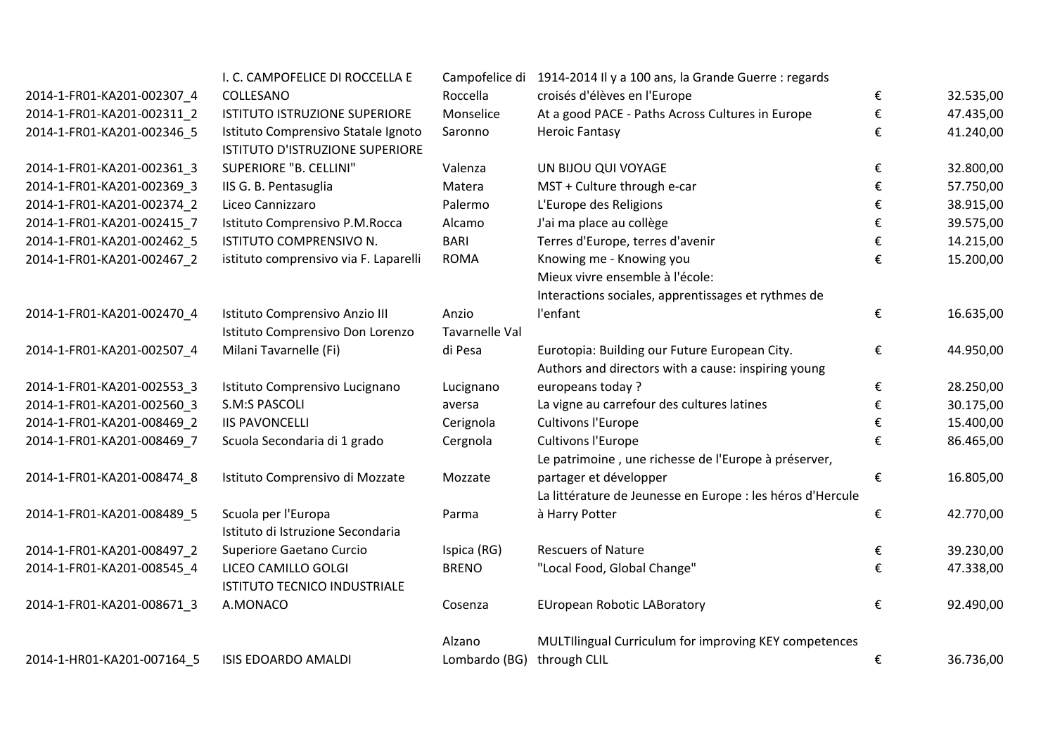|                            | I. C. CAMPOFELICE DI ROCCELLA E                                        |                                | Campofelice di 1914-2014 Il y a 100 ans, la Grande Guerre : regards |   |           |
|----------------------------|------------------------------------------------------------------------|--------------------------------|---------------------------------------------------------------------|---|-----------|
| 2014-1-FR01-KA201-002307_4 | COLLESANO                                                              | Roccella                       | croisés d'élèves en l'Europe                                        | € | 32.535,00 |
| 2014-1-FR01-KA201-002311 2 | ISTITUTO ISTRUZIONE SUPERIORE                                          | Monselice                      | At a good PACE - Paths Across Cultures in Europe                    | € | 47.435,00 |
| 2014-1-FR01-KA201-002346 5 | Istituto Comprensivo Statale Ignoto<br>ISTITUTO D'ISTRUZIONE SUPERIORE | Saronno                        | <b>Heroic Fantasy</b>                                               | € | 41.240,00 |
| 2014-1-FR01-KA201-002361 3 | SUPERIORE "B. CELLINI"                                                 | Valenza                        | UN BIJOU QUI VOYAGE                                                 | € | 32.800,00 |
| 2014-1-FR01-KA201-002369 3 | IIS G. B. Pentasuglia                                                  | Matera                         | MST + Culture through e-car                                         | € | 57.750,00 |
| 2014-1-FR01-KA201-002374 2 | Liceo Cannizzaro                                                       | Palermo                        | L'Europe des Religions                                              | € | 38.915,00 |
| 2014-1-FR01-KA201-002415_7 | Istituto Comprensivo P.M.Rocca                                         | Alcamo                         | J'ai ma place au collège                                            | € | 39.575,00 |
| 2014-1-FR01-KA201-002462_5 | ISTITUTO COMPRENSIVO N.                                                | <b>BARI</b>                    | Terres d'Europe, terres d'avenir                                    | € | 14.215,00 |
| 2014-1-FR01-KA201-002467 2 | istituto comprensivo via F. Laparelli                                  | <b>ROMA</b>                    | Knowing me - Knowing you<br>Mieux vivre ensemble à l'école:         | € | 15.200,00 |
|                            |                                                                        |                                | Interactions sociales, apprentissages et rythmes de                 |   |           |
| 2014-1-FR01-KA201-002470_4 | Istituto Comprensivo Anzio III<br>Istituto Comprensivo Don Lorenzo     | Anzio<br><b>Tavarnelle Val</b> | l'enfant                                                            | € | 16.635,00 |
|                            | Milani Tavarnelle (Fi)                                                 | di Pesa                        | Eurotopia: Building our Future European City.                       |   |           |
| 2014-1-FR01-KA201-002507_4 |                                                                        |                                | Authors and directors with a cause: inspiring young                 | € | 44.950,00 |
| 2014-1-FR01-KA201-002553_3 | Istituto Comprensivo Lucignano                                         | Lucignano                      | europeans today?                                                    | € | 28.250,00 |
| 2014-1-FR01-KA201-002560_3 | S.M:S PASCOLI                                                          | aversa                         | La vigne au carrefour des cultures latines                          | € | 30.175,00 |
| 2014-1-FR01-KA201-008469 2 | <b>IIS PAVONCELLI</b>                                                  | Cerignola                      | <b>Cultivons l'Europe</b>                                           | € | 15.400,00 |
| 2014-1-FR01-KA201-008469_7 | Scuola Secondaria di 1 grado                                           | Cergnola                       | <b>Cultivons l'Europe</b>                                           | € | 86.465,00 |
|                            |                                                                        |                                | Le patrimoine, une richesse de l'Europe à préserver,                |   |           |
| 2014-1-FR01-KA201-008474_8 | Istituto Comprensivo di Mozzate                                        | Mozzate                        | partager et développer                                              | € | 16.805,00 |
|                            |                                                                        |                                | La littérature de Jeunesse en Europe : les héros d'Hercule          |   |           |
| 2014-1-FR01-KA201-008489_5 | Scuola per l'Europa<br>Istituto di Istruzione Secondaria               | Parma                          | à Harry Potter                                                      | € | 42.770,00 |
| 2014-1-FR01-KA201-008497 2 | Superiore Gaetano Curcio                                               | Ispica (RG)                    | <b>Rescuers of Nature</b>                                           | € | 39.230,00 |
| 2014-1-FR01-KA201-008545_4 | LICEO CAMILLO GOLGI                                                    | <b>BRENO</b>                   | "Local Food, Global Change"                                         | € | 47.338,00 |
|                            | <b>ISTITUTO TECNICO INDUSTRIALE</b>                                    |                                |                                                                     |   |           |
| 2014-1-FR01-KA201-008671_3 | A.MONACO                                                               | Cosenza                        | <b>EUropean Robotic LABoratory</b>                                  | € | 92.490,00 |
|                            |                                                                        | Alzano                         | MULTIlingual Curriculum for improving KEY competences               |   |           |
| 2014-1-HR01-KA201-007164 5 | <b>ISIS EDOARDO AMALDI</b>                                             | Lombardo (BG)                  | through CLIL                                                        | € | 36.736,00 |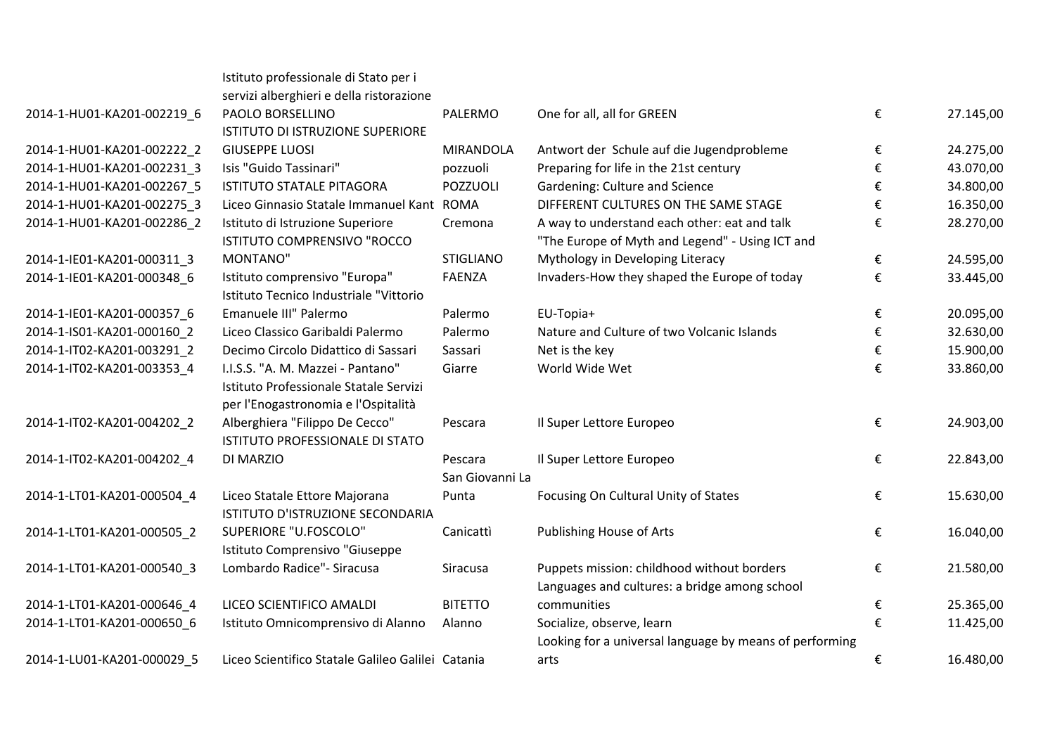|                            | Istituto professionale di Stato per i             |                  |                                                         |   |           |
|----------------------------|---------------------------------------------------|------------------|---------------------------------------------------------|---|-----------|
|                            | servizi alberghieri e della ristorazione          |                  |                                                         |   |           |
| 2014-1-HU01-KA201-002219_6 | PAOLO BORSELLINO                                  | PALERMO          | One for all, all for GREEN                              | € | 27.145,00 |
|                            | ISTITUTO DI ISTRUZIONE SUPERIORE                  |                  |                                                         |   |           |
| 2014-1-HU01-KA201-002222_2 | <b>GIUSEPPE LUOSI</b>                             | <b>MIRANDOLA</b> | Antwort der Schule auf die Jugendprobleme               | € | 24.275,00 |
| 2014-1-HU01-KA201-002231 3 | Isis "Guido Tassinari"                            | pozzuoli         | Preparing for life in the 21st century                  | € | 43.070,00 |
| 2014-1-HU01-KA201-002267 5 | <b>ISTITUTO STATALE PITAGORA</b>                  | <b>POZZUOLI</b>  | Gardening: Culture and Science                          | € | 34.800,00 |
| 2014-1-HU01-KA201-002275 3 | Liceo Ginnasio Statale Immanuel Kant ROMA         |                  | DIFFERENT CULTURES ON THE SAME STAGE                    | € | 16.350,00 |
| 2014-1-HU01-KA201-002286_2 | Istituto di Istruzione Superiore                  | Cremona          | A way to understand each other: eat and talk            | € | 28.270,00 |
|                            | ISTITUTO COMPRENSIVO "ROCCO                       |                  | "The Europe of Myth and Legend" - Using ICT and         |   |           |
| 2014-1-IE01-KA201-000311 3 | MONTANO"                                          | <b>STIGLIANO</b> | Mythology in Developing Literacy                        | € | 24.595,00 |
| 2014-1-IE01-KA201-000348 6 | Istituto comprensivo "Europa"                     | <b>FAENZA</b>    | Invaders-How they shaped the Europe of today            | € | 33.445,00 |
|                            | Istituto Tecnico Industriale "Vittorio            |                  |                                                         |   |           |
| 2014-1-IE01-KA201-000357_6 | Emanuele III" Palermo                             | Palermo          | EU-Topia+                                               | € | 20.095,00 |
| 2014-1-IS01-KA201-000160 2 | Liceo Classico Garibaldi Palermo                  | Palermo          | Nature and Culture of two Volcanic Islands              | € | 32.630,00 |
| 2014-1-IT02-KA201-003291 2 | Decimo Circolo Didattico di Sassari               | Sassari          | Net is the key                                          | € | 15.900,00 |
| 2014-1-IT02-KA201-003353_4 | I.I.S.S. "A. M. Mazzei - Pantano"                 | Giarre           | World Wide Wet                                          | € | 33.860,00 |
|                            | Istituto Professionale Statale Servizi            |                  |                                                         |   |           |
|                            | per l'Enogastronomia e l'Ospitalità               |                  |                                                         |   |           |
| 2014-1-IT02-KA201-004202_2 | Alberghiera "Filippo De Cecco"                    | Pescara          | Il Super Lettore Europeo                                | € | 24.903,00 |
|                            | ISTITUTO PROFESSIONALE DI STATO                   |                  |                                                         |   |           |
| 2014-1-IT02-KA201-004202 4 | DI MARZIO                                         | Pescara          | Il Super Lettore Europeo                                | € | 22.843,00 |
|                            |                                                   | San Giovanni La  |                                                         |   |           |
| 2014-1-LT01-KA201-000504_4 | Liceo Statale Ettore Majorana                     | Punta            | Focusing On Cultural Unity of States                    | € | 15.630,00 |
|                            | ISTITUTO D'ISTRUZIONE SECONDARIA                  |                  |                                                         |   |           |
| 2014-1-LT01-KA201-000505 2 | SUPERIORE "U.FOSCOLO"                             | Canicattì        | Publishing House of Arts                                | € | 16.040,00 |
|                            | Istituto Comprensivo "Giuseppe                    |                  |                                                         |   |           |
| 2014-1-LT01-KA201-000540_3 | Lombardo Radice" - Siracusa                       | Siracusa         | Puppets mission: childhood without borders              | € | 21.580,00 |
|                            |                                                   |                  | Languages and cultures: a bridge among school           |   |           |
| 2014-1-LT01-KA201-000646_4 | LICEO SCIENTIFICO AMALDI                          | <b>BITETTO</b>   | communities                                             | € | 25.365,00 |
| 2014-1-LT01-KA201-000650_6 | Istituto Omnicomprensivo di Alanno                | Alanno           | Socialize, observe, learn                               | € | 11.425,00 |
|                            |                                                   |                  | Looking for a universal language by means of performing |   |           |
| 2014-1-LU01-KA201-000029 5 | Liceo Scientifico Statale Galileo Galilei Catania |                  | arts                                                    | € | 16.480,00 |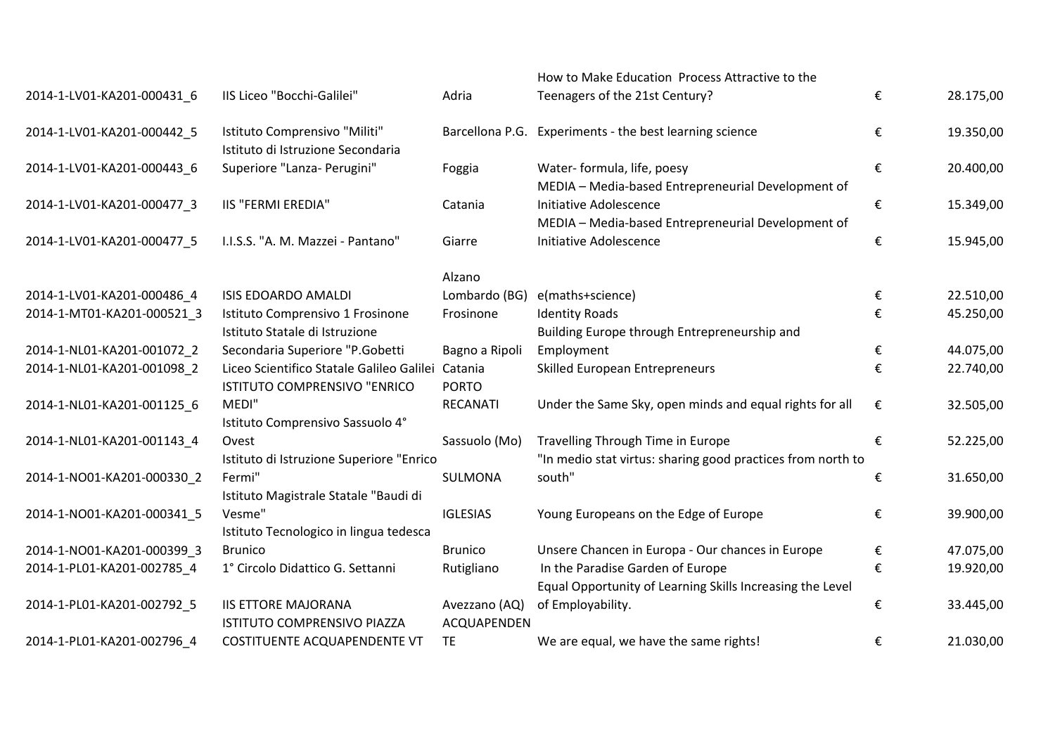|                            |                                                                    |                              | How to Make Education Process Attractive to the             |   |           |
|----------------------------|--------------------------------------------------------------------|------------------------------|-------------------------------------------------------------|---|-----------|
| 2014-1-LV01-KA201-000431_6 | IIS Liceo "Bocchi-Galilei"                                         | Adria                        | Teenagers of the 21st Century?                              | € | 28.175,00 |
| 2014-1-LV01-KA201-000442_5 | Istituto Comprensivo "Militi"<br>Istituto di Istruzione Secondaria |                              | Barcellona P.G. Experiments - the best learning science     | € | 19.350,00 |
| 2014-1-LV01-KA201-000443 6 | Superiore "Lanza- Perugini"                                        | Foggia                       | Water- formula, life, poesy                                 | € | 20.400,00 |
|                            |                                                                    |                              | MEDIA - Media-based Entrepreneurial Development of          |   |           |
| 2014-1-LV01-KA201-000477 3 | <b>IIS "FERMI EREDIA"</b>                                          | Catania                      | Initiative Adolescence                                      | € | 15.349,00 |
|                            |                                                                    |                              | MEDIA - Media-based Entrepreneurial Development of          |   |           |
| 2014-1-LV01-KA201-000477_5 | I.I.S.S. "A. M. Mazzei - Pantano"                                  | Giarre                       | Initiative Adolescence                                      | € | 15.945,00 |
|                            |                                                                    | Alzano                       |                                                             |   |           |
| 2014-1-LV01-KA201-000486_4 | <b>ISIS EDOARDO AMALDI</b>                                         | Lombardo (BG)                | e(maths+science)                                            | € | 22.510,00 |
| 2014-1-MT01-KA201-000521 3 | Istituto Comprensivo 1 Frosinone                                   | Frosinone                    | <b>Identity Roads</b>                                       | € | 45.250,00 |
|                            | Istituto Statale di Istruzione                                     |                              | Building Europe through Entrepreneurship and                |   |           |
| 2014-1-NL01-KA201-001072_2 | Secondaria Superiore "P.Gobetti                                    | Bagno a Ripoli               | Employment                                                  | € | 44.075,00 |
| 2014-1-NL01-KA201-001098_2 | Liceo Scientifico Statale Galileo Galilei                          | Catania                      | Skilled European Entrepreneurs                              | € | 22.740,00 |
|                            | ISTITUTO COMPRENSIVO "ENRICO                                       | <b>PORTO</b>                 |                                                             |   |           |
| 2014-1-NL01-KA201-001125_6 | MEDI"                                                              | RECANATI                     | Under the Same Sky, open minds and equal rights for all     | € | 32.505,00 |
|                            | Istituto Comprensivo Sassuolo 4°                                   |                              |                                                             |   |           |
| 2014-1-NL01-KA201-001143 4 | Ovest                                                              | Sassuolo (Mo)                | Travelling Through Time in Europe                           | € | 52.225,00 |
|                            | Istituto di Istruzione Superiore "Enrico                           |                              | "In medio stat virtus: sharing good practices from north to |   |           |
| 2014-1-NO01-KA201-000330_2 | Fermi"                                                             | SULMONA                      | south"                                                      | € | 31.650,00 |
|                            | Istituto Magistrale Statale "Baudi di                              |                              |                                                             |   |           |
| 2014-1-NO01-KA201-000341_5 | Vesme"                                                             | <b>IGLESIAS</b>              | Young Europeans on the Edge of Europe                       | € | 39.900,00 |
|                            | Istituto Tecnologico in lingua tedesca                             |                              |                                                             |   |           |
| 2014-1-NO01-KA201-000399 3 | <b>Brunico</b>                                                     | <b>Brunico</b>               | Unsere Chancen in Europa - Our chances in Europe            | € | 47.075,00 |
| 2014-1-PL01-KA201-002785_4 | 1º Circolo Didattico G. Settanni                                   | Rutigliano                   | In the Paradise Garden of Europe                            | € | 19.920,00 |
|                            |                                                                    |                              | Equal Opportunity of Learning Skills Increasing the Level   |   |           |
| 2014-1-PL01-KA201-002792_5 | <b>IIS ETTORE MAJORANA</b><br>ISTITUTO COMPRENSIVO PIAZZA          | Avezzano (AQ)<br>ACQUAPENDEN | of Employability.                                           | € | 33.445,00 |
| 2014-1-PL01-KA201-002796 4 | COSTITUENTE ACQUAPENDENTE VT                                       | <b>TE</b>                    | We are equal, we have the same rights!                      | € | 21.030,00 |
|                            |                                                                    |                              |                                                             |   |           |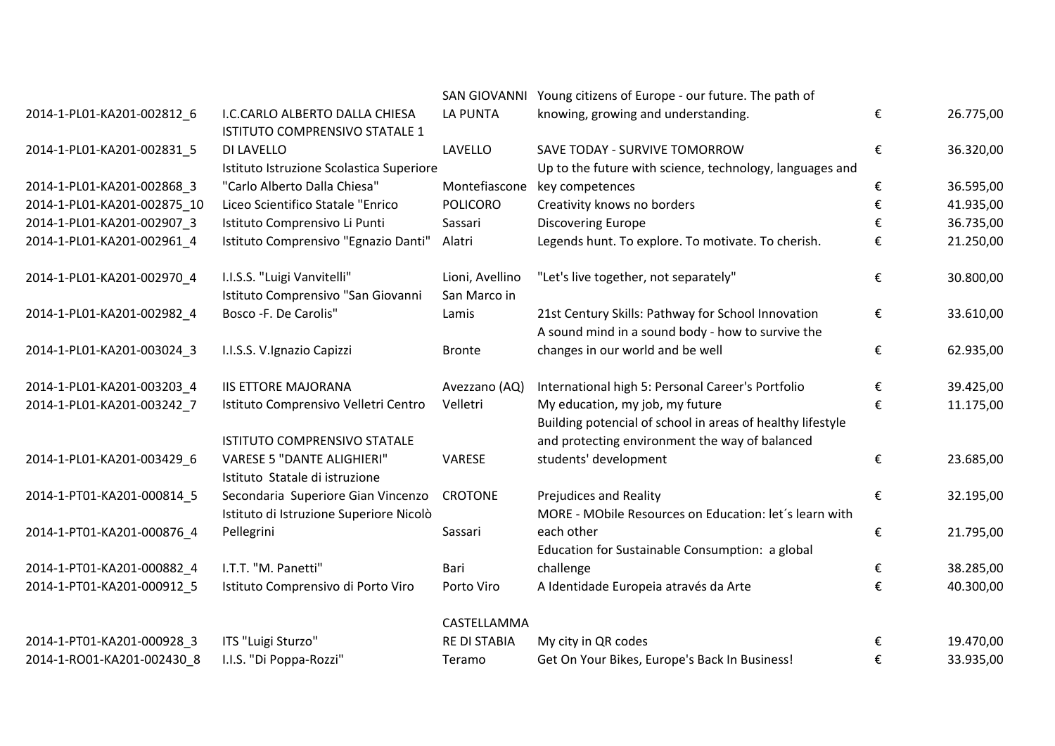|                             |                                                                               |                                 | SAN GIOVANNI Young citizens of Europe - our future. The path of                                         |   |           |
|-----------------------------|-------------------------------------------------------------------------------|---------------------------------|---------------------------------------------------------------------------------------------------------|---|-----------|
| 2014-1-PL01-KA201-002812_6  | I.C.CARLO ALBERTO DALLA CHIESA<br>ISTITUTO COMPRENSIVO STATALE 1              | <b>LA PUNTA</b>                 | knowing, growing and understanding.                                                                     | € | 26.775,00 |
| 2014-1-PL01-KA201-002831_5  | DI LAVELLO<br>Istituto Istruzione Scolastica Superiore                        | LAVELLO                         | SAVE TODAY - SURVIVE TOMORROW<br>Up to the future with science, technology, languages and               | € | 36.320,00 |
| 2014-1-PL01-KA201-002868 3  | "Carlo Alberto Dalla Chiesa"                                                  | Montefiascone                   | key competences                                                                                         | € | 36.595,00 |
| 2014-1-PL01-KA201-002875 10 | Liceo Scientifico Statale "Enrico                                             | <b>POLICORO</b>                 | Creativity knows no borders                                                                             | € | 41.935,00 |
| 2014-1-PL01-KA201-002907_3  | Istituto Comprensivo Li Punti                                                 | Sassari                         | <b>Discovering Europe</b>                                                                               | € | 36.735,00 |
| 2014-1-PL01-KA201-002961_4  | Istituto Comprensivo "Egnazio Danti"                                          | Alatri                          | Legends hunt. To explore. To motivate. To cherish.                                                      | € | 21.250,00 |
| 2014-1-PL01-KA201-002970_4  | I.I.S.S. "Luigi Vanvitelli"<br>Istituto Comprensivo "San Giovanni             | Lioni, Avellino<br>San Marco in | "Let's live together, not separately"                                                                   | € | 30.800,00 |
| 2014-1-PL01-KA201-002982_4  | Bosco - F. De Carolis"                                                        | Lamis                           | 21st Century Skills: Pathway for School Innovation<br>A sound mind in a sound body - how to survive the | € | 33.610,00 |
| 2014-1-PL01-KA201-003024_3  | I.I.S.S. V.Ignazio Capizzi                                                    | <b>Bronte</b>                   | changes in our world and be well                                                                        | € | 62.935,00 |
| 2014-1-PL01-KA201-003203_4  | <b>IIS ETTORE MAJORANA</b>                                                    | Avezzano (AQ)                   | International high 5: Personal Career's Portfolio                                                       | € | 39.425,00 |
| 2014-1-PL01-KA201-003242 7  | Istituto Comprensivo Velletri Centro                                          | Velletri                        | My education, my job, my future<br>Building potencial of school in areas of healthy lifestyle           | € | 11.175,00 |
|                             | ISTITUTO COMPRENSIVO STATALE                                                  |                                 | and protecting environment the way of balanced                                                          |   |           |
| 2014-1-PL01-KA201-003429_6  | <b>VARESE 5 "DANTE ALIGHIERI"</b><br>Istituto Statale di istruzione           | VARESE                          | students' development                                                                                   | € | 23.685,00 |
| 2014-1-PT01-KA201-000814 5  | Secondaria Superiore Gian Vincenzo<br>Istituto di Istruzione Superiore Nicolò | <b>CROTONE</b>                  | Prejudices and Reality<br>MORE - MObile Resources on Education: let's learn with                        | € | 32.195,00 |
| 2014-1-PT01-KA201-000876_4  | Pellegrini                                                                    | Sassari                         | each other<br>Education for Sustainable Consumption: a global                                           | € | 21.795,00 |
| 2014-1-PT01-KA201-000882_4  | I.T.T. "M. Panetti"                                                           | Bari                            | challenge                                                                                               | € | 38.285,00 |
| 2014-1-PT01-KA201-000912_5  | Istituto Comprensivo di Porto Viro                                            | Porto Viro                      | A Identidade Europeia através da Arte                                                                   | € | 40.300,00 |
|                             |                                                                               | CASTELLAMMA                     |                                                                                                         |   |           |
| 2014-1-PT01-KA201-000928_3  | ITS "Luigi Sturzo"                                                            | <b>RE DI STABIA</b>             | My city in QR codes                                                                                     | € | 19.470,00 |
| 2014-1-RO01-KA201-002430 8  | I.I.S. "Di Poppa-Rozzi"                                                       | Teramo                          | Get On Your Bikes, Europe's Back In Business!                                                           | € | 33.935,00 |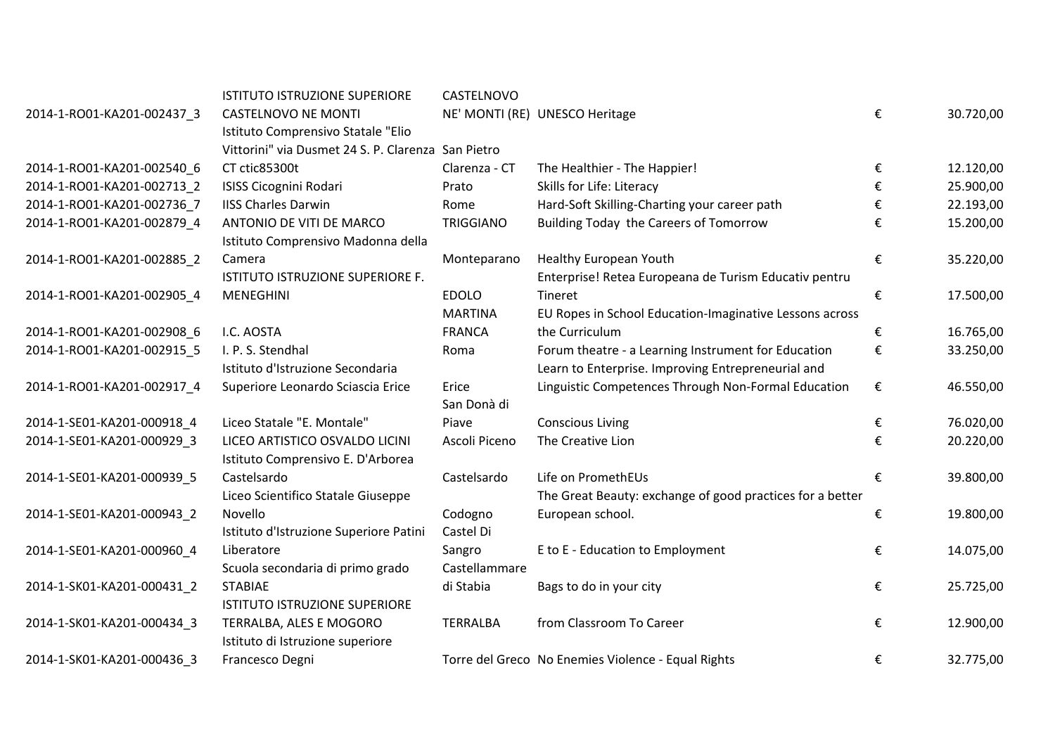| <b>CASTELNOVO NE MONTI</b><br>NE' MONTI (RE) UNESCO Heritage<br>€<br>2014-1-RO01-KA201-002437_3<br>Istituto Comprensivo Statale "Elio<br>Vittorini" via Dusmet 24 S. P. Clarenza San Pietro<br>CT ctic85300t<br>Clarenza - CT<br>2014-1-RO01-KA201-002540 6<br>The Healthier - The Happier!<br>€<br>Skills for Life: Literacy<br>2014-1-RO01-KA201-002713 2<br>€<br><b>ISISS Cicognini Rodari</b><br>Prato<br>Hard-Soft Skilling-Charting your career path<br>2014-1-RO01-KA201-002736 7<br><b>IISS Charles Darwin</b><br>Rome<br>€<br>2014-1-RO01-KA201-002879_4<br><b>TRIGGIANO</b><br>Building Today the Careers of Tomorrow<br>ANTONIO DE VITI DE MARCO<br>€<br>Istituto Comprensivo Madonna della<br>Healthy European Youth<br>€<br>2014-1-RO01-KA201-002885_2<br>Monteparano<br>Camera<br>ISTITUTO ISTRUZIONE SUPERIORE F.<br>Enterprise! Retea Europeana de Turism Educativ pentru<br><b>EDOLO</b><br>€<br>2014-1-RO01-KA201-002905_4<br><b>MENEGHINI</b><br>Tineret<br><b>MARTINA</b><br>EU Ropes in School Education-Imaginative Lessons across<br>I.C. AOSTA<br><b>FRANCA</b><br>the Curriculum<br>2014-1-RO01-KA201-002908 6<br>€<br>2014-1-RO01-KA201-002915 5<br>I. P. S. Stendhal<br>Forum theatre - a Learning Instrument for Education<br>€<br>Roma<br>Learn to Enterprise. Improving Entrepreneurial and<br>Istituto d'Istruzione Secondaria<br>2014-1-RO01-KA201-002917 4<br>Erice<br>Linguistic Competences Through Non-Formal Education<br>€<br>Superiore Leonardo Sciascia Erice |           |
|-------------------------------------------------------------------------------------------------------------------------------------------------------------------------------------------------------------------------------------------------------------------------------------------------------------------------------------------------------------------------------------------------------------------------------------------------------------------------------------------------------------------------------------------------------------------------------------------------------------------------------------------------------------------------------------------------------------------------------------------------------------------------------------------------------------------------------------------------------------------------------------------------------------------------------------------------------------------------------------------------------------------------------------------------------------------------------------------------------------------------------------------------------------------------------------------------------------------------------------------------------------------------------------------------------------------------------------------------------------------------------------------------------------------------------------------------------------------------------------------------------|-----------|
|                                                                                                                                                                                                                                                                                                                                                                                                                                                                                                                                                                                                                                                                                                                                                                                                                                                                                                                                                                                                                                                                                                                                                                                                                                                                                                                                                                                                                                                                                                       | 30.720,00 |
|                                                                                                                                                                                                                                                                                                                                                                                                                                                                                                                                                                                                                                                                                                                                                                                                                                                                                                                                                                                                                                                                                                                                                                                                                                                                                                                                                                                                                                                                                                       |           |
|                                                                                                                                                                                                                                                                                                                                                                                                                                                                                                                                                                                                                                                                                                                                                                                                                                                                                                                                                                                                                                                                                                                                                                                                                                                                                                                                                                                                                                                                                                       | 12.120,00 |
|                                                                                                                                                                                                                                                                                                                                                                                                                                                                                                                                                                                                                                                                                                                                                                                                                                                                                                                                                                                                                                                                                                                                                                                                                                                                                                                                                                                                                                                                                                       | 25.900,00 |
|                                                                                                                                                                                                                                                                                                                                                                                                                                                                                                                                                                                                                                                                                                                                                                                                                                                                                                                                                                                                                                                                                                                                                                                                                                                                                                                                                                                                                                                                                                       | 22.193,00 |
|                                                                                                                                                                                                                                                                                                                                                                                                                                                                                                                                                                                                                                                                                                                                                                                                                                                                                                                                                                                                                                                                                                                                                                                                                                                                                                                                                                                                                                                                                                       | 15.200,00 |
|                                                                                                                                                                                                                                                                                                                                                                                                                                                                                                                                                                                                                                                                                                                                                                                                                                                                                                                                                                                                                                                                                                                                                                                                                                                                                                                                                                                                                                                                                                       | 35.220,00 |
|                                                                                                                                                                                                                                                                                                                                                                                                                                                                                                                                                                                                                                                                                                                                                                                                                                                                                                                                                                                                                                                                                                                                                                                                                                                                                                                                                                                                                                                                                                       |           |
|                                                                                                                                                                                                                                                                                                                                                                                                                                                                                                                                                                                                                                                                                                                                                                                                                                                                                                                                                                                                                                                                                                                                                                                                                                                                                                                                                                                                                                                                                                       | 17.500,00 |
|                                                                                                                                                                                                                                                                                                                                                                                                                                                                                                                                                                                                                                                                                                                                                                                                                                                                                                                                                                                                                                                                                                                                                                                                                                                                                                                                                                                                                                                                                                       |           |
|                                                                                                                                                                                                                                                                                                                                                                                                                                                                                                                                                                                                                                                                                                                                                                                                                                                                                                                                                                                                                                                                                                                                                                                                                                                                                                                                                                                                                                                                                                       | 16.765,00 |
|                                                                                                                                                                                                                                                                                                                                                                                                                                                                                                                                                                                                                                                                                                                                                                                                                                                                                                                                                                                                                                                                                                                                                                                                                                                                                                                                                                                                                                                                                                       | 33.250,00 |
|                                                                                                                                                                                                                                                                                                                                                                                                                                                                                                                                                                                                                                                                                                                                                                                                                                                                                                                                                                                                                                                                                                                                                                                                                                                                                                                                                                                                                                                                                                       |           |
| San Donà di                                                                                                                                                                                                                                                                                                                                                                                                                                                                                                                                                                                                                                                                                                                                                                                                                                                                                                                                                                                                                                                                                                                                                                                                                                                                                                                                                                                                                                                                                           | 46.550,00 |
| Liceo Statale "E. Montale"<br>2014-1-SE01-KA201-000918 4<br>Piave<br><b>Conscious Living</b><br>€                                                                                                                                                                                                                                                                                                                                                                                                                                                                                                                                                                                                                                                                                                                                                                                                                                                                                                                                                                                                                                                                                                                                                                                                                                                                                                                                                                                                     | 76.020,00 |
| Ascoli Piceno<br>The Creative Lion<br>2014-1-SE01-KA201-000929_3<br>LICEO ARTISTICO OSVALDO LICINI<br>€<br>Istituto Comprensivo E. D'Arborea                                                                                                                                                                                                                                                                                                                                                                                                                                                                                                                                                                                                                                                                                                                                                                                                                                                                                                                                                                                                                                                                                                                                                                                                                                                                                                                                                          | 20.220,00 |
| Life on PromethEUs<br>2014-1-SE01-KA201-000939_5<br>Castelsardo<br>Castelsardo<br>€                                                                                                                                                                                                                                                                                                                                                                                                                                                                                                                                                                                                                                                                                                                                                                                                                                                                                                                                                                                                                                                                                                                                                                                                                                                                                                                                                                                                                   | 39.800,00 |
| Liceo Scientifico Statale Giuseppe<br>The Great Beauty: exchange of good practices for a better                                                                                                                                                                                                                                                                                                                                                                                                                                                                                                                                                                                                                                                                                                                                                                                                                                                                                                                                                                                                                                                                                                                                                                                                                                                                                                                                                                                                       |           |
| Novello<br>European school.<br>2014-1-SE01-KA201-000943_2<br>Codogno<br>€                                                                                                                                                                                                                                                                                                                                                                                                                                                                                                                                                                                                                                                                                                                                                                                                                                                                                                                                                                                                                                                                                                                                                                                                                                                                                                                                                                                                                             | 19.800,00 |
| Castel Di<br>Istituto d'Istruzione Superiore Patini                                                                                                                                                                                                                                                                                                                                                                                                                                                                                                                                                                                                                                                                                                                                                                                                                                                                                                                                                                                                                                                                                                                                                                                                                                                                                                                                                                                                                                                   |           |
| E to E - Education to Employment<br>2014-1-SE01-KA201-000960_4<br>Sangro<br>Liberatore<br>€                                                                                                                                                                                                                                                                                                                                                                                                                                                                                                                                                                                                                                                                                                                                                                                                                                                                                                                                                                                                                                                                                                                                                                                                                                                                                                                                                                                                           | 14.075,00 |
| Castellammare<br>Scuola secondaria di primo grado                                                                                                                                                                                                                                                                                                                                                                                                                                                                                                                                                                                                                                                                                                                                                                                                                                                                                                                                                                                                                                                                                                                                                                                                                                                                                                                                                                                                                                                     |           |
| 2014-1-SK01-KA201-000431_2<br><b>STABIAE</b><br>€<br>di Stabia<br>Bags to do in your city                                                                                                                                                                                                                                                                                                                                                                                                                                                                                                                                                                                                                                                                                                                                                                                                                                                                                                                                                                                                                                                                                                                                                                                                                                                                                                                                                                                                             | 25.725,00 |
| <b>ISTITUTO ISTRUZIONE SUPERIORE</b>                                                                                                                                                                                                                                                                                                                                                                                                                                                                                                                                                                                                                                                                                                                                                                                                                                                                                                                                                                                                                                                                                                                                                                                                                                                                                                                                                                                                                                                                  |           |
| from Classroom To Career<br>TERRALBA, ALES E MOGORO<br><b>TERRALBA</b><br>€<br>2014-1-SK01-KA201-000434_3<br>Istituto di Istruzione superiore                                                                                                                                                                                                                                                                                                                                                                                                                                                                                                                                                                                                                                                                                                                                                                                                                                                                                                                                                                                                                                                                                                                                                                                                                                                                                                                                                         | 12.900,00 |
| Torre del Greco No Enemies Violence - Equal Rights<br>2014-1-SK01-KA201-000436 3<br>Francesco Degni<br>€                                                                                                                                                                                                                                                                                                                                                                                                                                                                                                                                                                                                                                                                                                                                                                                                                                                                                                                                                                                                                                                                                                                                                                                                                                                                                                                                                                                              | 32.775,00 |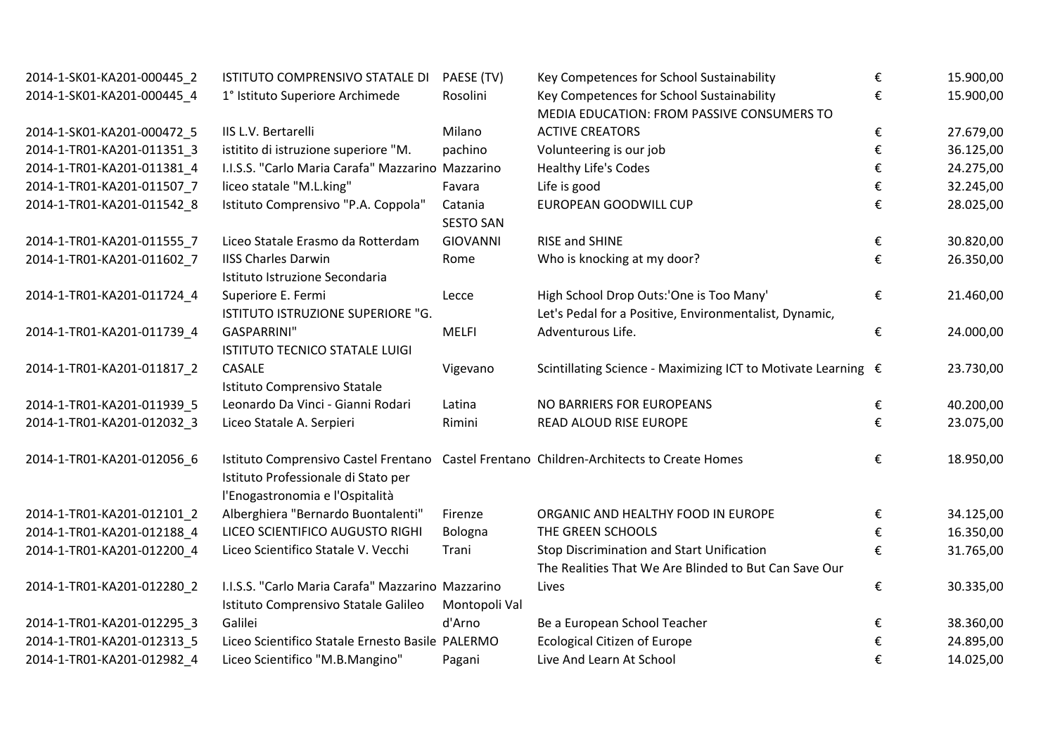| 2014-1-SK01-KA201-000445_2 | ISTITUTO COMPRENSIVO STATALE DI                                                          | PAESE (TV)       | Key Competences for School Sustainability                     | € | 15.900,00 |
|----------------------------|------------------------------------------------------------------------------------------|------------------|---------------------------------------------------------------|---|-----------|
| 2014-1-SK01-KA201-000445 4 | 1° Istituto Superiore Archimede                                                          | Rosolini         | Key Competences for School Sustainability                     | € | 15.900,00 |
|                            |                                                                                          |                  | MEDIA EDUCATION: FROM PASSIVE CONSUMERS TO                    |   |           |
| 2014-1-SK01-KA201-000472 5 | IIS L.V. Bertarelli                                                                      | Milano           | <b>ACTIVE CREATORS</b>                                        | € | 27.679,00 |
| 2014-1-TR01-KA201-011351_3 | istitito di istruzione superiore "M.                                                     | pachino          | Volunteering is our job                                       | € | 36.125,00 |
| 2014-1-TR01-KA201-011381 4 | I.I.S.S. "Carlo Maria Carafa" Mazzarino Mazzarino                                        |                  | <b>Healthy Life's Codes</b>                                   | € | 24.275,00 |
| 2014-1-TR01-KA201-011507_7 | liceo statale "M.L.king"                                                                 | Favara           | Life is good                                                  | € | 32.245,00 |
| 2014-1-TR01-KA201-011542 8 | Istituto Comprensivo "P.A. Coppola"                                                      | Catania          | <b>EUROPEAN GOODWILL CUP</b>                                  | € | 28.025,00 |
|                            |                                                                                          | <b>SESTO SAN</b> |                                                               |   |           |
| 2014-1-TR01-KA201-011555 7 | Liceo Statale Erasmo da Rotterdam                                                        | <b>GIOVANNI</b>  | RISE and SHINE                                                | € | 30.820,00 |
| 2014-1-TR01-KA201-011602_7 | <b>IISS Charles Darwin</b><br>Istituto Istruzione Secondaria                             | Rome             | Who is knocking at my door?                                   | € | 26.350,00 |
| 2014-1-TR01-KA201-011724_4 | Superiore E. Fermi                                                                       | Lecce            | High School Drop Outs:'One is Too Many'                       | € | 21.460,00 |
|                            | ISTITUTO ISTRUZIONE SUPERIORE "G.                                                        |                  | Let's Pedal for a Positive, Environmentalist, Dynamic,        |   |           |
| 2014-1-TR01-KA201-011739_4 | <b>GASPARRINI"</b>                                                                       | <b>MELFI</b>     | Adventurous Life.                                             | € | 24.000,00 |
|                            | ISTITUTO TECNICO STATALE LUIGI                                                           |                  |                                                               |   |           |
| 2014-1-TR01-KA201-011817_2 | CASALE                                                                                   | Vigevano         | Scintillating Science - Maximizing ICT to Motivate Learning € |   | 23.730,00 |
|                            | Istituto Comprensivo Statale                                                             |                  |                                                               |   |           |
| 2014-1-TR01-KA201-011939 5 | Leonardo Da Vinci - Gianni Rodari                                                        | Latina           | NO BARRIERS FOR EUROPEANS                                     | € | 40.200,00 |
| 2014-1-TR01-KA201-012032_3 | Liceo Statale A. Serpieri                                                                | Rimini           | READ ALOUD RISE EUROPE                                        | € | 23.075,00 |
|                            |                                                                                          |                  |                                                               |   |           |
| 2014-1-TR01-KA201-012056_6 | Istituto Comprensivo Castel Frentano Castel Frentano Children-Architects to Create Homes |                  |                                                               | € | 18.950,00 |
|                            | Istituto Professionale di Stato per                                                      |                  |                                                               |   |           |
|                            | l'Enogastronomia e l'Ospitalità                                                          |                  |                                                               |   |           |
| 2014-1-TR01-KA201-012101 2 | Alberghiera "Bernardo Buontalenti"                                                       | Firenze          | ORGANIC AND HEALTHY FOOD IN EUROPE                            | € | 34.125,00 |
| 2014-1-TR01-KA201-012188 4 | LICEO SCIENTIFICO AUGUSTO RIGHI                                                          | Bologna          | THE GREEN SCHOOLS                                             | € | 16.350,00 |
| 2014-1-TR01-KA201-012200 4 | Liceo Scientifico Statale V. Vecchi                                                      | Trani            | <b>Stop Discrimination and Start Unification</b>              | € | 31.765,00 |
|                            |                                                                                          |                  | The Realities That We Are Blinded to But Can Save Our         |   |           |
| 2014-1-TR01-KA201-012280_2 | I.I.S.S. "Carlo Maria Carafa" Mazzarino Mazzarino                                        |                  | Lives                                                         | € | 30.335,00 |
|                            | Istituto Comprensivo Statale Galileo                                                     | Montopoli Val    |                                                               |   |           |
| 2014-1-TR01-KA201-012295_3 | Galilei                                                                                  | d'Arno           | Be a European School Teacher                                  | € | 38.360,00 |
| 2014-1-TR01-KA201-012313_5 | Liceo Scientifico Statale Ernesto Basile PALERMO                                         |                  | <b>Ecological Citizen of Europe</b>                           | € | 24.895,00 |
| 2014-1-TR01-KA201-012982_4 | Liceo Scientifico "M.B.Mangino"                                                          | Pagani           | Live And Learn At School                                      | € | 14.025,00 |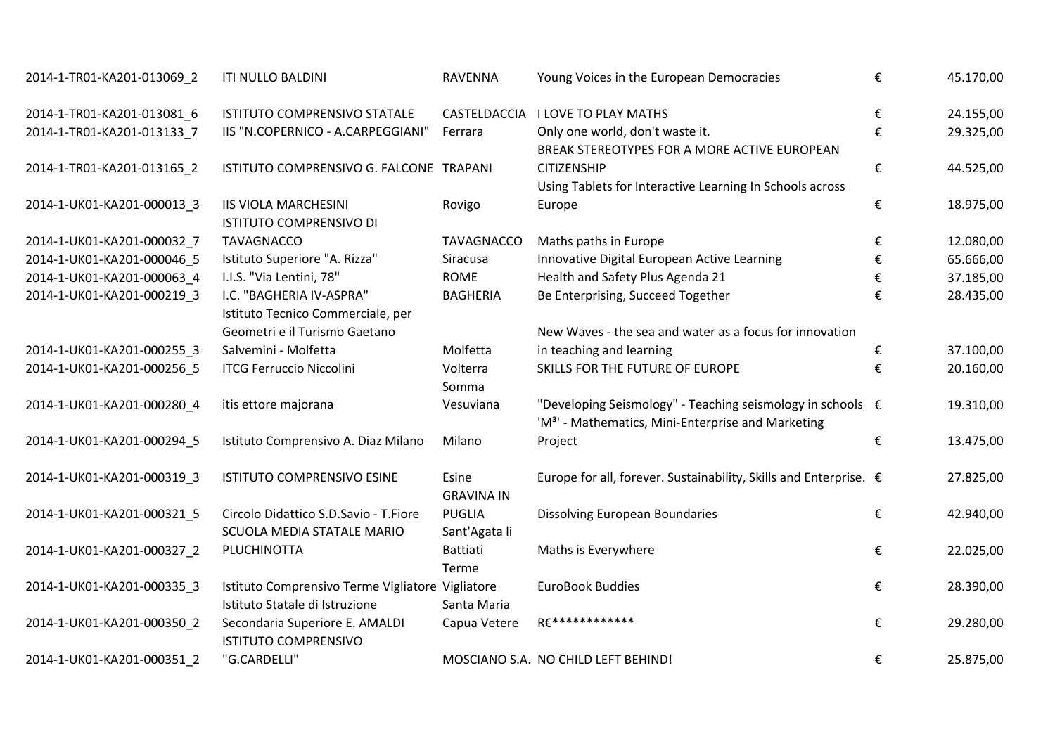| 2014-1-TR01-KA201-013069_2 | <b>ITI NULLO BALDINI</b>                                                           | <b>RAVENNA</b>                 | Young Voices in the European Democracies                                                                                     | € | 45.170,00 |
|----------------------------|------------------------------------------------------------------------------------|--------------------------------|------------------------------------------------------------------------------------------------------------------------------|---|-----------|
| 2014-1-TR01-KA201-013081 6 | ISTITUTO COMPRENSIVO STATALE                                                       | CASTELDACCIA                   | <b>I LOVE TO PLAY MATHS</b>                                                                                                  | € | 24.155,00 |
| 2014-1-TR01-KA201-013133 7 | IIS "N.COPERNICO - A.CARPEGGIANI"                                                  | Ferrara                        | Only one world, don't waste it.<br>BREAK STEREOTYPES FOR A MORE ACTIVE EUROPEAN                                              | € | 29.325,00 |
| 2014-1-TR01-KA201-013165_2 | ISTITUTO COMPRENSIVO G. FALCONE TRAPANI                                            |                                | <b>CITIZENSHIP</b><br>Using Tablets for Interactive Learning In Schools across                                               | € | 44.525,00 |
| 2014-1-UK01-KA201-000013_3 | <b>IIS VIOLA MARCHESINI</b><br><b>ISTITUTO COMPRENSIVO DI</b>                      | Rovigo                         | Europe                                                                                                                       | € | 18.975,00 |
| 2014-1-UK01-KA201-000032 7 | <b>TAVAGNACCO</b>                                                                  | <b>TAVAGNACCO</b>              | Maths paths in Europe                                                                                                        | € | 12.080,00 |
| 2014-1-UK01-KA201-000046 5 | Istituto Superiore "A. Rizza"                                                      | Siracusa                       | Innovative Digital European Active Learning                                                                                  | € | 65.666,00 |
| 2014-1-UK01-KA201-000063 4 | I.I.S. "Via Lentini, 78"                                                           | <b>ROME</b>                    | Health and Safety Plus Agenda 21                                                                                             | € | 37.185,00 |
| 2014-1-UK01-KA201-000219_3 | I.C. "BAGHERIA IV-ASPRA"<br>Istituto Tecnico Commerciale, per                      | <b>BAGHERIA</b>                | Be Enterprising, Succeed Together                                                                                            | € | 28.435,00 |
|                            | Geometri e il Turismo Gaetano                                                      |                                | New Waves - the sea and water as a focus for innovation                                                                      |   |           |
| 2014-1-UK01-KA201-000255_3 | Salvemini - Molfetta                                                               | Molfetta                       | in teaching and learning                                                                                                     | € | 37.100,00 |
| 2014-1-UK01-KA201-000256 5 | <b>ITCG Ferruccio Niccolini</b>                                                    | Volterra<br>Somma              | SKILLS FOR THE FUTURE OF EUROPE                                                                                              | € | 20.160,00 |
| 2014-1-UK01-KA201-000280_4 | itis ettore majorana                                                               | Vesuviana                      | "Developing Seismology" - Teaching seismology in schools €<br>'M <sup>3</sup> ' - Mathematics, Mini-Enterprise and Marketing |   | 19.310,00 |
| 2014-1-UK01-KA201-000294_5 | Istituto Comprensivo A. Diaz Milano                                                | Milano                         | Project                                                                                                                      | € | 13.475,00 |
| 2014-1-UK01-KA201-000319_3 | ISTITUTO COMPRENSIVO ESINE                                                         | Esine<br><b>GRAVINA IN</b>     | Europe for all, forever. Sustainability, Skills and Enterprise. €                                                            |   | 27.825,00 |
| 2014-1-UK01-KA201-000321_5 | Circolo Didattico S.D.Savio - T.Fiore<br>SCUOLA MEDIA STATALE MARIO                | <b>PUGLIA</b><br>Sant'Agata li | Dissolving European Boundaries                                                                                               | € | 42.940,00 |
| 2014-1-UK01-KA201-000327_2 | PLUCHINOTTA                                                                        | <b>Battiati</b><br>Terme       | Maths is Everywhere                                                                                                          | € | 22.025,00 |
| 2014-1-UK01-KA201-000335_3 | Istituto Comprensivo Terme Vigliatore Vigliatore<br>Istituto Statale di Istruzione | Santa Maria                    | EuroBook Buddies                                                                                                             | € | 28.390,00 |
| 2014-1-UK01-KA201-000350_2 | Secondaria Superiore E. AMALDI<br><b>ISTITUTO COMPRENSIVO</b>                      | Capua Vetere                   | RE************                                                                                                               | € | 29.280,00 |
| 2014-1-UK01-KA201-000351 2 | "G.CARDELLI"                                                                       |                                | MOSCIANO S.A. NO CHILD LEFT BEHIND!                                                                                          | € | 25.875,00 |